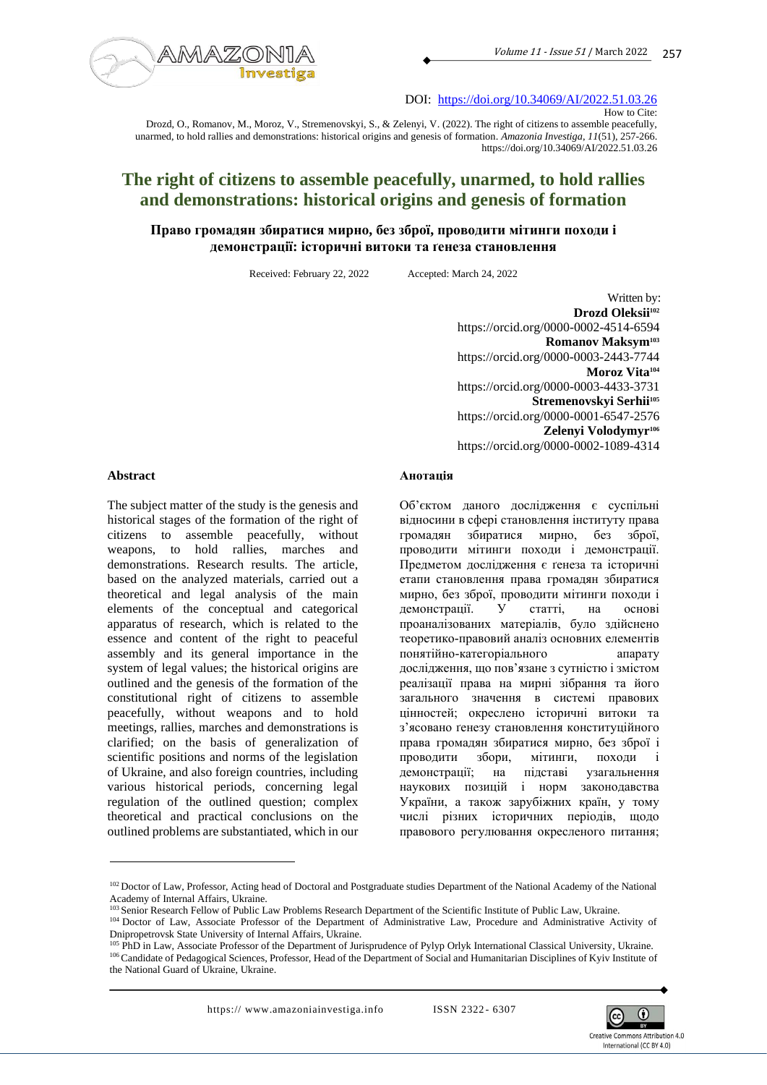

DOI: <https://doi.org/10.34069/AI/2022.51.03.26>

Drozd, O., Romanov, M., Moroz, V., Stremenovskyi, S., & Zelenyi, V. (2022). The right of citizens to assemble peacefully, unarmed, to hold rallies and demonstrations: historical origins and genesis of formation. *Amazonia Investiga*, *11*(51), 257-266. https://doi.org/10.34069/AI/2022.51.03.26

# **The right of citizens to assemble peacefully, unarmed, to hold rallies and demonstrations: historical origins and genesis of formation**

# **Право громадян збиратися мирно, без зброї, проводити мітинги походи і демонстрації: історичні витоки та ґенеза становлення**

Received: February 22, 2022 Accepted: March 24, 2022

Written by: **Drozd Oleksii<sup>102</sup>** https://orcid.org/0000-0002-4514-6594 **Romanov Maksym<sup>103</sup>** https://orcid.org/0000-0003-2443-7744 **Moroz Vita<sup>104</sup>** https://orcid.org/0000-0003-4433-3731 **Stremenovskyi Serhii<sup>105</sup>** https://orcid.org/0000-0001-6547-2576 **Zelenyi Volodymyr<sup>106</sup>** https://orcid.org/0000-0002-1089-4314

#### **Abstract**

The subject matter of the study is the genesis and historical stages of the formation of the right of citizens to assemble peacefully, without weapons, to hold rallies, marches and demonstrations. Research results. The article, based on the analyzed materials, carried out a theoretical and legal analysis of the main elements of the conceptual and categorical apparatus of research, which is related to the essence and content of the right to peaceful assembly and its general importance in the system of legal values; the historical origins are outlined and the genesis of the formation of the constitutional right of citizens to assemble peacefully, without weapons and to hold meetings, rallies, marches and demonstrations is clarified; on the basis of generalization of scientific positions and norms of the legislation of Ukraine, and also foreign countries, including various historical periods, concerning legal regulation of the outlined question; complex theoretical and practical conclusions on the outlined problems are substantiated, which in our

#### **Анотація**

Об'єктом даного дослідження є суспільні відносини в сфері становлення інституту права громадян збиратися мирно, без зброї, проводити мітинги походи і демонстрації. Предметом дослідження є ґенеза та історичні етапи становлення права громадян збиратися мирно, без зброї, проводити мітинги походи і<br>демонстрації. У статті, на основі демонстрації. У статті, на основі проаналізованих матеріалів, було здійснено теоретико-правовий аналіз основних елементів понятійно-категоріального апарату дослідження, що пов'язане з сутністю і змістом реалізації права на мирні зібрання та його загального значення в системі правових цінностей; окреслено історичні витоки та з'ясовано ґенезу становлення конституційного права громадян збиратися мирно, без зброї і проводити збори, мітинги, походи і демонстрації; на підставі узагальнення наукових позицій і норм законодавства України, а також зарубіжних країн, у тому числі різних історичних періодів, щодо правового регулювання окресленого питання;



How to Cite:

<sup>&</sup>lt;sup>102</sup> Doctor of Law, Professor, Acting head of Doctoral and Postgraduate studies Department of the National Academy of the National Academy of Internal Affairs, Ukraine.

<sup>&</sup>lt;sup>103</sup> Senior Research Fellow of Public Law Problems Research Department of the Scientific Institute of Public Law, Ukraine.

<sup>&</sup>lt;sup>104</sup> Doctor of Law, Associate Professor of the Department of Administrative Law, Procedure and Administrative Activity of Dnipropetrovsk State University of Internal Affairs, Ukraine.

<sup>105</sup> PhD in Law, Associate Professor of the Department of Jurisprudence of Pylyp Orlyk International Classical University, Ukraine. 106 Candidate of Pedagogical Sciences, Professor, Head of the Department of Social and Humanitarian Disciplines of Kyiv Institute of the National Guard of Ukraine, Ukraine.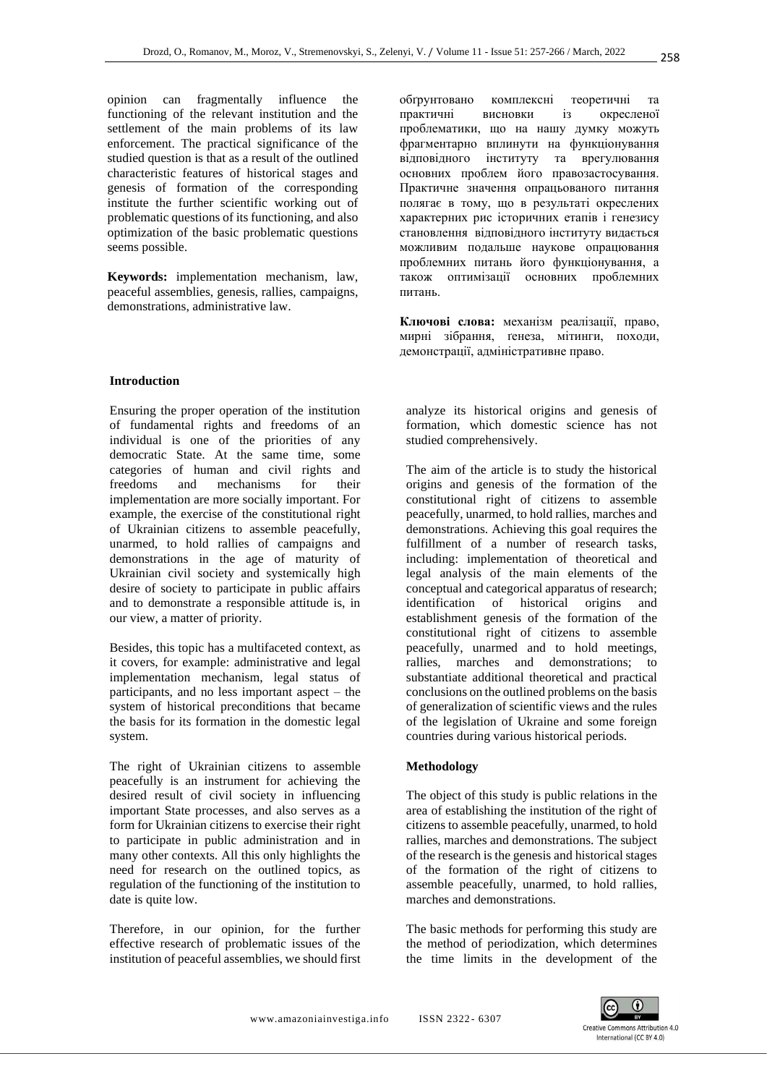opinion can fragmentally influence the functioning of the relevant institution and the settlement of the main problems of its law enforcement. The practical significance of the studied question is that as a result of the outlined characteristic features of historical stages and genesis of formation of the corresponding institute the further scientific working out of problematic questions of its functioning, and also optimization of the basic problematic questions seems possible.

**Keywords:** implementation mechanism, law, peaceful assemblies, genesis, rallies, campaigns, demonstrations, administrative law.

#### **Introduction**

Ensuring the proper operation of the institution of fundamental rights and freedoms of an individual is one of the priorities of any democratic State. At the same time, some categories of human and civil rights and freedoms and mechanisms for their implementation are more socially important. For example, the exercise of the constitutional right of Ukrainian citizens to assemble peacefully, unarmed, to hold rallies of campaigns and demonstrations in the age of maturity of Ukrainian civil society and systemically high desire of society to participate in public affairs and to demonstrate a responsible attitude is, in our view, a matter of priority.

Besides, this topic has a multifaceted context, as it covers, for example: administrative and legal implementation mechanism, legal status of participants, and no less important aspect – the system of historical preconditions that became the basis for its formation in the domestic legal system.

The right of Ukrainian citizens to assemble peacefully is an instrument for achieving the desired result of civil society in influencing important State processes, and also serves as a form for Ukrainian citizens to exercise their right to participate in public administration and in many other contexts. All this only highlights the need for research on the outlined topics, as regulation of the functioning of the institution to date is quite low.

Therefore, in our opinion, for the further effective research of problematic issues of the institution of peaceful assemblies, we should first обґрунтовано комплексні теоретичні та практичні висновки із окресленої проблематики, що на нашу думку можуть фрагментарно вплинути на функціонування відповідного інституту та врегулювання основних проблем його правозастосування. Практичне значення опрацьованого питання полягає в тому, що в результаті окреслених характерних рис історичних етапів і генезису становлення відповідного інституту видається можливим подальше наукове опрацювання проблемних питань його функціонування, а також оптимізації основних проблемних питань.

**Ключові слова:** механізм реалізації, право, мирні зібрання, ґенеза, мітинги, походи, демонстрації, адміністративне право.

analyze its historical origins and genesis of formation, which domestic science has not studied comprehensively.

The aim of the article is to study the historical origins and genesis of the formation of the constitutional right of citizens to assemble peacefully, unarmed, to hold rallies, marches and demonstrations. Achieving this goal requires the fulfillment of a number of research tasks, including: implementation of theoretical and legal analysis of the main elements of the conceptual and categorical apparatus of research; identification of historical origins and establishment genesis of the formation of the constitutional right of citizens to assemble peacefully, unarmed and to hold meetings, rallies, marches and demonstrations; to substantiate additional theoretical and practical conclusions on the outlined problems on the basis of generalization of scientific views and the rules of the legislation of Ukraine and some foreign countries during various historical periods.

#### **Methodology**

The object of this study is public relations in the area of establishing the institution of the right of citizens to assemble peacefully, unarmed, to hold rallies, marches and demonstrations. The subject of the research is the genesis and historical stages of the formation of the right of citizens to assemble peacefully, unarmed, to hold rallies, marches and demonstrations.

The basic methods for performing this study are the method of periodization, which determines the time limits in the development of the

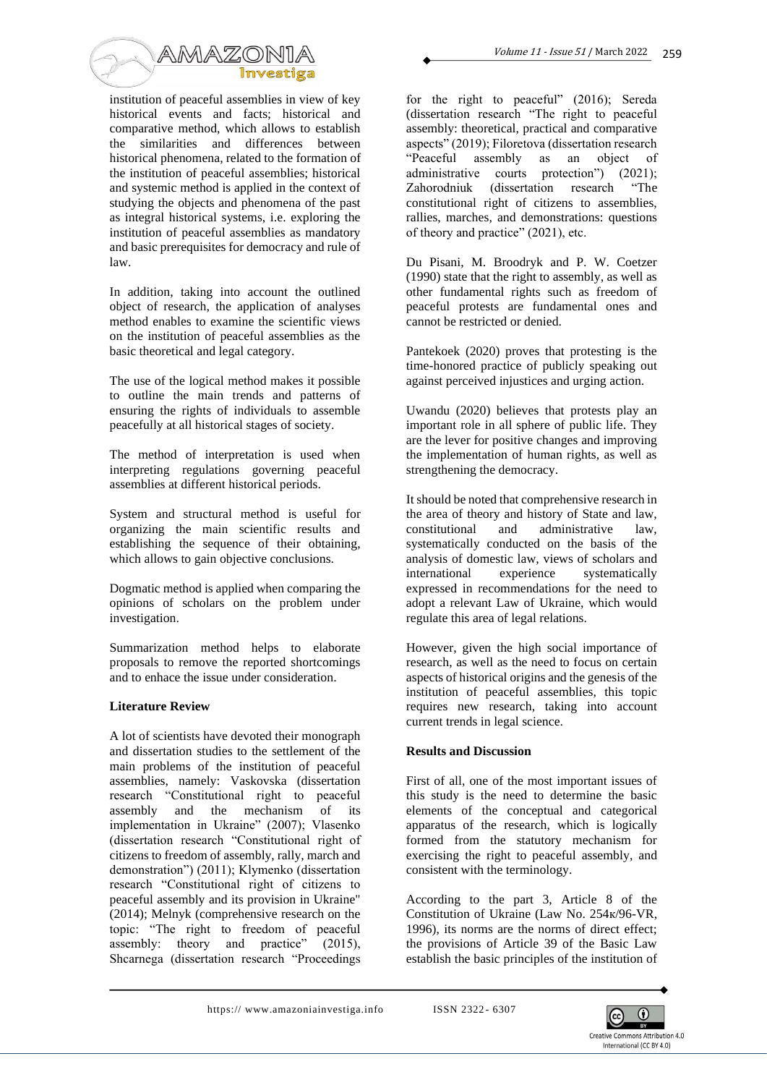

institution of peaceful assemblies in view of key historical events and facts; historical and comparative method, which allows to establish the similarities and differences between historical phenomena, related to the formation of the institution of peaceful assemblies; historical and systemic method is applied in the context of studying the objects and phenomena of the past as integral historical systems, i.e. exploring the institution of peaceful assemblies as mandatory and basic prerequisites for democracy and rule of law.

In addition, taking into account the outlined object of research, the application of analyses method enables to examine the scientific views on the institution of peaceful assemblies as the basic theoretical and legal category.

The use of the logical method makes it possible to outline the main trends and patterns of ensuring the rights of individuals to assemble peacefully at all historical stages of society.

The method of interpretation is used when interpreting regulations governing peaceful assemblies at different historical periods.

System and structural method is useful for organizing the main scientific results and establishing the sequence of their obtaining, which allows to gain objective conclusions.

Dogmatic method is applied when comparing the opinions of scholars on the problem under investigation.

Summarization method helps to elaborate proposals to remove the reported shortcomings and to enhace the issue under consideration.

## **Literature Review**

A lot of scientists have devoted their monograph and dissertation studies to the settlement of the main problems of the institution of peaceful assemblies, namely: Vaskovska (dissertation research "Constitutional right to peaceful assembly and the mechanism of its implementation in Ukraine" (2007); Vlasenko (dissertation research "Constitutional right of citizens to freedom of assembly, rally, march and demonstration") (2011); Klymenko (dissertation research "Constitutional right of citizens to peaceful assembly and its provision in Ukraine" (2014); Melnyk (comprehensive research on the topic: "The right to freedom of peaceful assembly: theory and practice" (2015), Shcarnega (dissertation research "Proceedings

for the right to peaceful" (2016); Sereda (dissertation research "The right to peaceful assembly: theoretical, practical and comparative aspects" (2019); Filoretova (dissertation research "Peaceful assembly as an object of administrative courts protection") (2021); Zahorodniuk (dissertation research "The constitutional right of citizens to assemblies, rallies, marches, and demonstrations: questions of theory and practice" (2021), etc.

Du Pisani, M. Broodryk and P. W. Coetzer (1990) state that the right to assembly, as well as other fundamental rights such as freedom of peaceful protests are fundamental ones and cannot be restricted or denied.

Pantekoek (2020) proves that protesting is the time-honored practice of publicly speaking out against perceived injustices and urging action.

Uwandu (2020) believes that protests play an important role in all sphere of public life. They are the lever for positive changes and improving the implementation of human rights, as well as strengthening the democracy.

It should be noted that comprehensive research in the area of theory and history of State and law, constitutional and administrative law, systematically conducted on the basis of the analysis of domestic law, views of scholars and experience systematically expressed in recommendations for the need to adopt a relevant Law of Ukraine, which would regulate this area of legal relations.

However, given the high social importance of research, as well as the need to focus on certain aspects of historical origins and the genesis of the institution of peaceful assemblies, this topic requires new research, taking into account current trends in legal science.

## **Results and Discussion**

First of all, one of the most important issues of this study is the need to determine the basic elements of the conceptual and categorical apparatus of the research, which is logically formed from the statutory mechanism for exercising the right to peaceful assembly, and consistent with the terminology.

According to the part 3, Article 8 of the Constitution of Ukraine (Law No. 254к/96-VR, 1996), its norms are the norms of direct effect; the provisions of Article 39 of the Basic Law establish the basic principles of the institution of

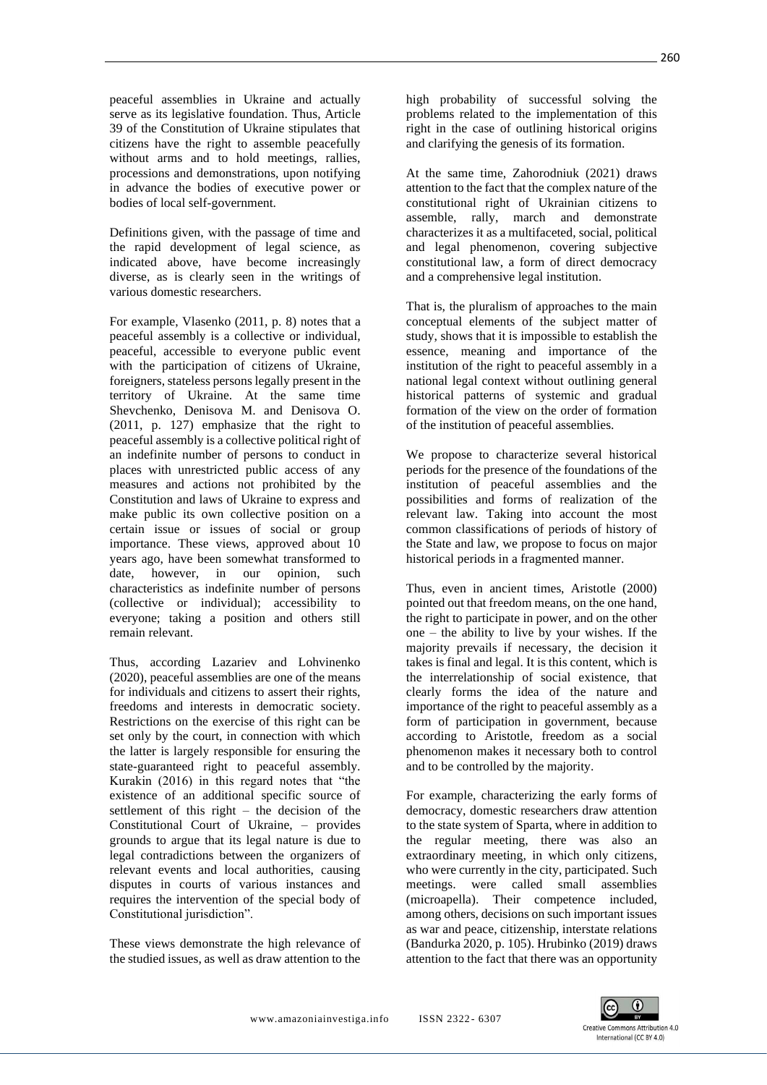peaceful assemblies in Ukraine and actually serve as its legislative foundation. Thus, Article 39 of the Constitution of Ukraine stipulates that citizens have the right to assemble peacefully without arms and to hold meetings, rallies, processions and demonstrations, upon notifying in advance the bodies of executive power or bodies of local self-government.

Definitions given, with the passage of time and the rapid development of legal science, as indicated above, have become increasingly diverse, as is clearly seen in the writings of various domestic researchers.

For example, Vlasenko (2011, p. 8) notes that a peaceful assembly is a collective or individual, peaceful, accessible to everyone public event with the participation of citizens of Ukraine, foreigners, stateless persons legally present in the territory of Ukraine. At the same time Shevchenko, Denisova M. and Denisova O. (2011, p. 127) emphasize that the right to peaceful assembly is a collective political right of an indefinite number of persons to conduct in places with unrestricted public access of any measures and actions not prohibited by the Constitution and laws of Ukraine to express and make public its own collective position on a certain issue or issues of social or group importance. These views, approved about 10 years ago, have been somewhat transformed to date, however, in our opinion, such characteristics as indefinite number of persons (collective or individual); accessibility to everyone; taking a position and others still remain relevant.

Thus, according Lazariev and Lohvinenko (2020), peaceful assemblies are one of the means for individuals and citizens to assert their rights, freedoms and interests in democratic society. Restrictions on the exercise of this right can be set only by the court, in connection with which the latter is largely responsible for ensuring the state-guaranteed right to peaceful assembly. Kurakin (2016) in this regard notes that "the existence of an additional specific source of settlement of this right – the decision of the Constitutional Court of Ukraine, – provides grounds to argue that its legal nature is due to legal contradictions between the organizers of relevant events and local authorities, causing disputes in courts of various instances and requires the intervention of the special body of Constitutional jurisdiction".

These views demonstrate the high relevance of the studied issues, as well as draw attention to the

high probability of successful solving the problems related to the implementation of this right in the case of outlining historical origins and clarifying the genesis of its formation.

At the same time, Zahorodniuk (2021) draws attention to the fact that the complex nature of the constitutional right of Ukrainian citizens to assemble, rally, march and demonstrate characterizes it as a multifaceted, social, political and legal phenomenon, covering subjective constitutional law, a form of direct democracy and a comprehensive legal institution.

That is, the pluralism of approaches to the main conceptual elements of the subject matter of study, shows that it is impossible to establish the essence, meaning and importance of the institution of the right to peaceful assembly in a national legal context without outlining general historical patterns of systemic and gradual formation of the view on the order of formation of the institution of peaceful assemblies.

We propose to characterize several historical periods for the presence of the foundations of the institution of peaceful assemblies and the possibilities and forms of realization of the relevant law. Taking into account the most common classifications of periods of history of the State and law, we propose to focus on major historical periods in a fragmented manner.

Thus, even in ancient times, Aristotle (2000) pointed out that freedom means, on the one hand, the right to participate in power, and on the other one – the ability to live by your wishes. If the majority prevails if necessary, the decision it takes is final and legal. It is this content, which is the interrelationship of social existence, that clearly forms the idea of the nature and importance of the right to peaceful assembly as a form of participation in government, because according to Aristotle, freedom as a social phenomenon makes it necessary both to control and to be controlled by the majority.

For example, characterizing the early forms of democracy, domestic researchers draw attention to the state system of Sparta, where in addition to the regular meeting, there was also an extraordinary meeting, in which only citizens, who were currently in the city, participated. Such meetings. were called small assemblies (microapella). Their competence included, among others, decisions on such important issues as war and peace, citizenship, interstate relations (Bandurka 2020, p. 105). Hrubinko (2019) draws attention to the fact that there was an opportunity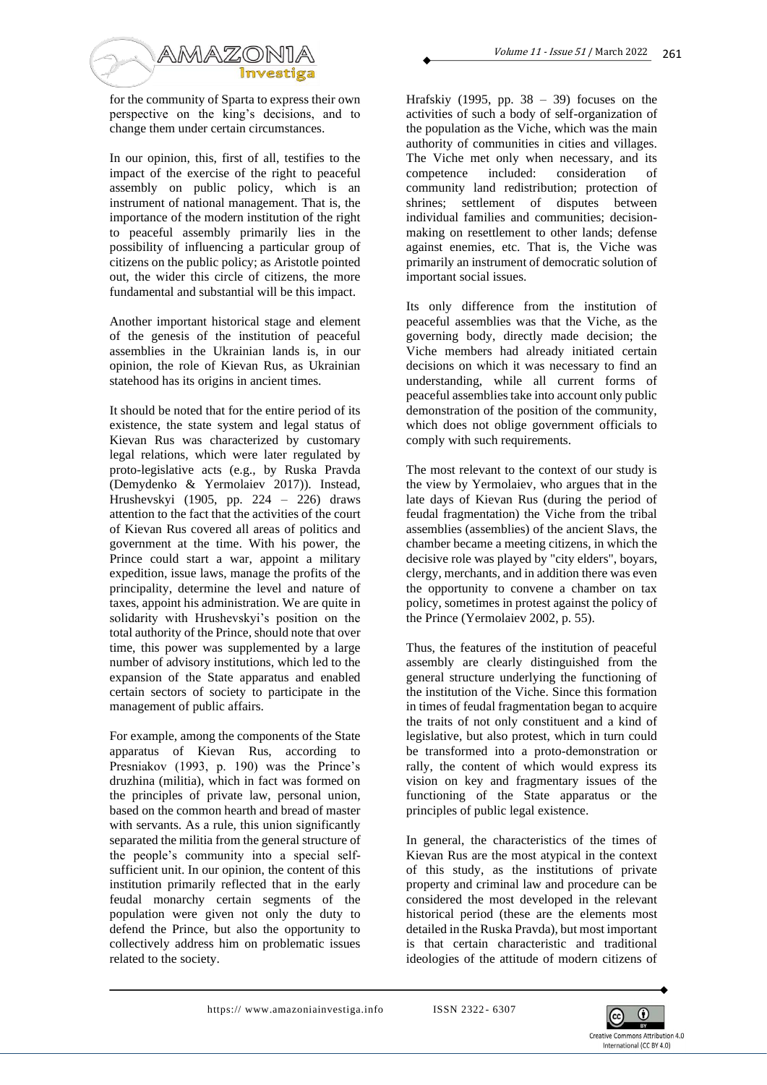

for the community of Sparta to express their own perspective on the king's decisions, and to change them under certain circumstances.

In our opinion, this, first of all, testifies to the impact of the exercise of the right to peaceful assembly on public policy, which is an instrument of national management. That is, the importance of the modern institution of the right to peaceful assembly primarily lies in the possibility of influencing a particular group of citizens on the public policy; as Aristotle pointed out, the wider this circle of citizens, the more fundamental and substantial will be this impact.

Another important historical stage and element of the genesis of the institution of peaceful assemblies in the Ukrainian lands is, in our opinion, the role of Kievan Rus, as Ukrainian statehood has its origins in ancient times.

It should be noted that for the entire period of its existence, the state system and legal status of Kievan Rus was characterized by customary legal relations, which were later regulated by proto-legislative acts (e.g., by Ruska Pravda (Demydenko & Yermolaiev 2017)). Instead, Hrushevskyi (1905, pp. 224 – 226) draws attention to the fact that the activities of the court of Kievan Rus covered all areas of politics and government at the time. With his power, the Prince could start a war, appoint a military expedition, issue laws, manage the profits of the principality, determine the level and nature of taxes, appoint his administration. We are quite in solidarity with Hrushevskyi's position on the total authority of the Prince, should note that over time, this power was supplemented by a large number of advisory institutions, which led to the expansion of the State apparatus and enabled certain sectors of society to participate in the management of public affairs.

For example, among the components of the State apparatus of Kievan Rus, according to Presniakov (1993, p. 190) was the Prince's druzhina (militia), which in fact was formed on the principles of private law, personal union, based on the common hearth and bread of master with servants. As a rule, this union significantly separated the militia from the general structure of the people's community into a special selfsufficient unit. In our opinion, the content of this institution primarily reflected that in the early feudal monarchy certain segments of the population were given not only the duty to defend the Prince, but also the opportunity to collectively address him on problematic issues related to the society.

Hrafskiy (1995, pp.  $38 - 39$ ) focuses on the activities of such a body of self-organization of the population as the Viche, which was the main authority of communities in cities and villages. The Viche met only when necessary, and its competence included: consideration of community land redistribution; protection of shrines; settlement of disputes between individual families and communities; decisionmaking on resettlement to other lands; defense against enemies, etc. That is, the Viche was primarily an instrument of democratic solution of important social issues.

Its only difference from the institution of peaceful assemblies was that the Viche, as the governing body, directly made decision; the Viche members had already initiated certain decisions on which it was necessary to find an understanding, while all current forms of peaceful assemblies take into account only public demonstration of the position of the community, which does not oblige government officials to comply with such requirements.

The most relevant to the context of our study is the view by Yermolaiev, who argues that in the late days of Kievan Rus (during the period of feudal fragmentation) the Viche from the tribal assemblies (assemblies) of the ancient Slavs, the chamber became a meeting citizens, in which the decisive role was played by "city elders", boyars, clergy, merchants, and in addition there was even the opportunity to convene a chamber on tax policy, sometimes in protest against the policy of the Prince (Yermolaiev 2002, p. 55).

Thus, the features of the institution of peaceful assembly are clearly distinguished from the general structure underlying the functioning of the institution of the Viche. Since this formation in times of feudal fragmentation began to acquire the traits of not only constituent and a kind of legislative, but also protest, which in turn could be transformed into a proto-demonstration or rally, the content of which would express its vision on key and fragmentary issues of the functioning of the State apparatus or the principles of public legal existence.

In general, the characteristics of the times of Kievan Rus are the most atypical in the context of this study, as the institutions of private property and criminal law and procedure can be considered the most developed in the relevant historical period (these are the elements most detailed in the Ruska Pravda), but most important is that certain characteristic and traditional ideologies of the attitude of modern citizens of

https://www.amazoniainvestiga.info ISSN 2322-6307

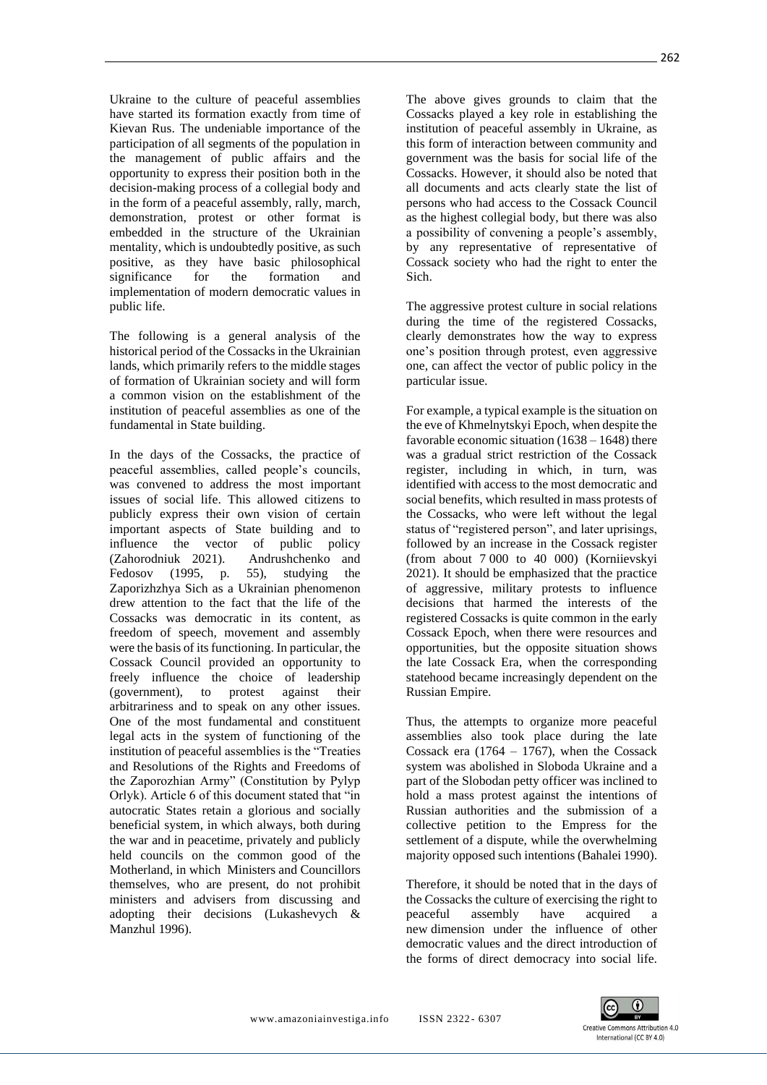Ukraine to the culture of peaceful assemblies have started its formation exactly from time of Kievan Rus. The undeniable importance of the participation of all segments of the population in the management of public affairs and the opportunity to express their position both in the decision-making process of a collegial body and in the form of a peaceful assembly, rally, march, demonstration, protest or other format [is](https://www.reverso.net/%D0%BF%D0%B5%D1%80%D0%B5%D0%B2%D0%BE%D0%B4-%D1%82%D0%B5%D0%BA%D1%81%D1%82%D0%B0#sl=rus&tl=eng&text=%D0%B7%D0%B0%D0%BB%D0%BE%D0%B6%D0%B5%D0%BD%D0%BE%20%D0%B2%20%D1%81%D1%82%D1%80%D1%83%D0%BA%D1%82%D1%83%D1%80%D1%83%20%D1%83%D0%BA%D1%80%D0%B0%D0%B8%D0%BD%D1%81%D0%BA%D0%BE%D0%B3%D0%BE%20%D0%BC%D0%B5%D0%BD%D1%82%D0%B0%D0%BB%D0%B8%D1%82%D)  [embedded in the structure of the Ukrainian](https://www.reverso.net/%D0%BF%D0%B5%D1%80%D0%B5%D0%B2%D0%BE%D0%B4-%D1%82%D0%B5%D0%BA%D1%81%D1%82%D0%B0#sl=rus&tl=eng&text=%D0%B7%D0%B0%D0%BB%D0%BE%D0%B6%D0%B5%D0%BD%D0%BE%20%D0%B2%20%D1%81%D1%82%D1%80%D1%83%D0%BA%D1%82%D1%83%D1%80%D1%83%20%D1%83%D0%BA%D1%80%D0%B0%D0%B8%D0%BD%D1%81%D0%BA%D0%BE%D0%B3%D0%BE%20%D0%BC%D0%B5%D0%BD%D1%82%D0%B0%D0%BB%D0%B8%D1%82%D)  [mentality, which is undoubtedly positive, as such](https://www.reverso.net/%D0%BF%D0%B5%D1%80%D0%B5%D0%B2%D0%BE%D0%B4-%D1%82%D0%B5%D0%BA%D1%81%D1%82%D0%B0#sl=rus&tl=eng&text=%D0%B7%D0%B0%D0%BB%D0%BE%D0%B6%D0%B5%D0%BD%D0%BE%20%D0%B2%20%D1%81%D1%82%D1%80%D1%83%D0%BA%D1%82%D1%83%D1%80%D1%83%20%D1%83%D0%BA%D1%80%D0%B0%D0%B8%D0%BD%D1%81%D0%BA%D0%BE%D0%B3%D0%BE%20%D0%BC%D0%B5%D0%BD%D1%82%D0%B0%D0%BB%D0%B8%D1%82%D)  positive, as [they have basic philosophical](https://www.reverso.net/%D0%BF%D0%B5%D1%80%D0%B5%D0%B2%D0%BE%D0%B4-%D1%82%D0%B5%D0%BA%D1%81%D1%82%D0%B0#sl=rus&tl=eng&text=%D0%B8%D0%BC%D0%B5%D1%8E%D1%82%20%D0%B1%D0%B0%D0%B7%D0%BE%D0%B2%D0%BE%D0%B5%20%D0%BC%D0%B8%D1%80%D0%BE%D0%B2%D0%BE%D0%B7%D0%B7%D1%80%D0%B5%D0%BD%D1%87%D0%B5%D1%81%D0%BA%D0%BE%D0%B5%20%D0%B7%D0%BD%D0%B0%D1%87%D0%B5%D0%BD%D0%B8%D0%B5%20%D)  [significance for the formation and](https://www.reverso.net/%D0%BF%D0%B5%D1%80%D0%B5%D0%B2%D0%BE%D0%B4-%D1%82%D0%B5%D0%BA%D1%81%D1%82%D0%B0#sl=rus&tl=eng&text=%D0%B8%D0%BC%D0%B5%D1%8E%D1%82%20%D0%B1%D0%B0%D0%B7%D0%BE%D0%B2%D0%BE%D0%B5%20%D0%BC%D0%B8%D1%80%D0%BE%D0%B2%D0%BE%D0%B7%D0%B7%D1%80%D0%B5%D0%BD%D1%87%D0%B5%D1%81%D0%BA%D0%BE%D0%B5%20%D0%B7%D0%BD%D0%B0%D1%87%D0%B5%D0%BD%D0%B8%D0%B5%20%D) [implementation of modern](https://www.reverso.net/%D0%BF%D0%B5%D1%80%D0%B5%D0%B2%D0%BE%D0%B4-%D1%82%D0%B5%D0%BA%D1%81%D1%82%D0%B0#sl=rus&tl=eng&text=%D0%B8%D0%BC%D0%B5%D1%8E%D1%82%20%D0%B1%D0%B0%D0%B7%D0%BE%D0%B2%D0%BE%D0%B5%20%D0%BC%D0%B8%D1%80%D0%BE%D0%B2%D0%BE%D0%B7%D0%B7%D1%80%D0%B5%D0%BD%D1%87%D0%B5%D1%81%D0%BA%D0%BE%D0%B5%20%D0%B7%D0%BD%D0%B0%D1%87%D0%B5%D0%BD%D0%B8%D0%B5%20%D) democratic values in public life.

The following is a general analysis of the historical period of the Cossacks in the Ukrainian lands, which primarily refers to the middle stages of formation of Ukrainian society and will form a common vision on the establishment of the institution of peaceful assemblies as one of the fundamental in State building.

In the days of the Cossacks, the practice of peaceful assemblies, called people's councils, was convened to address the most important issues of social life. This allowed citizens to publicly express their own vision of certain important aspects of State building and to influence the vector of public policy (Zahorodniuk 2021). Andrushchenko and Fedosov (1995, p. 55), studying the Zaporizhzhya Sich as a Ukrainian phenomenon drew attention to the fact that the life of the Cossacks was democratic in its content, as freedom of speech, movement and assembly were the basis of its functioning. In particular, the Cossack Council provided an opportunity to freely influence the choice of leadership (government), to protest against their arbitrariness and to speak on any other issues. One of the most fundamental and constituent legal acts in the system of functioning of the institution of peaceful assemblies is the "Treaties and Resolutions of the Rights and Freedoms of the Zaporozhian Army" (Constitution by Pylyp Orlyk). Article 6 of this document stated that "in [autocratic States retain a glorious and socially](https://www.reverso.net/%D0%BF%D0%B5%D1%80%D0%B5%D0%B2%D0%BE%D0%B4-%D1%82%D0%B5%D0%BA%D1%81%D1%82%D0%B0#sl=rus&tl=eng&text=%D1%81%D0%B0%D0%BC%D0%BE%D0%B4%D0%B5%D1%80%D0%B6%D0%B0%D0%B2%D0%BD%D1%8B%D1%85%20%D0%B3%D0%BE%D1%81%D1%83%D0%B4%D0%B0%D1%80%D1%81%D1%82%D0%B2%D0%B0%D1%85%20%D1%81%D0%BE%D1%85%D1%80%D0%B0%D0%BD%D1%8F%D0%B5%D1%82%D1%81%D1%8F%20%D1%82%D0%B)  [beneficial system, in which](https://www.reverso.net/%D0%BF%D0%B5%D1%80%D0%B5%D0%B2%D0%BE%D0%B4-%D1%82%D0%B5%D0%BA%D1%81%D1%82%D0%B0#sl=rus&tl=eng&text=%D1%81%D0%B0%D0%BC%D0%BE%D0%B4%D0%B5%D1%80%D0%B6%D0%B0%D0%B2%D0%BD%D1%8B%D1%85%20%D0%B3%D0%BE%D1%81%D1%83%D0%B4%D0%B0%D1%80%D1%81%D1%82%D0%B2%D0%B0%D1%85%20%D1%81%D0%BE%D1%85%D1%80%D0%B0%D0%BD%D1%8F%D0%B5%D1%82%D1%81%D1%8F%20%D1%82%D0%B) always, both during the war and in peacetime, privately and publicly held councils on the common good of the Motherland, in which Ministers and Councillors themselves, who are present, do not prohibit ministers and advisers from discussing and adopting their decisions (Lukashevych & Manzhul 1996).

The above gives grounds to claim that the Cossacks played a key role in establishing the institution of peaceful assembly in Ukraine, as this form of interaction between community and government was the basis for social life of the Cossacks. However, it should also be noted that all documents and acts clearly state the list of persons who had access to the Cossack Council as the highest collegial body, but there was also a possibility of convening a people's assembly, by any representative of representative of Cossack society who had the right to enter the Sich.

The aggressive protest culture in social relations during the time of the registered Cossacks, clearly demonstrates how the way to express one's position through protest, even aggressive one, can affect the vector of public policy in the particular issue.

For example, a typical example is the situation on the eve of Khmelnytskyi Epoch, when despite the favorable economic situation (1638 – 1648) there was a gradual strict restriction of the Cossack register, [including in which, in turn, was](https://www.reverso.net/%D0%BF%D0%B5%D1%80%D0%B5%D0%B2%D0%BE%D0%B4-%D1%82%D0%B5%D0%BA%D1%81%D1%82%D0%B0#sl=rus&tl=eng&text=%D0%BF%D1%80%D0%B5%D0%B1%D1%8B%D0%B2%D0%B0%D0%BD%D0%B8%D0%B5%20%D0%B2%20%D0%BA%D0%BE%D1%82%D0%BE%D1%80%D0%BE%D0%BC,%20%D0%B2%20%D1%81%D0%B2%D0%BE%D1%8E%20%D0%BE%D1%87%D0%B5%D1%80%D0%B5%D0%B4%D1%8C,%20%D0%BE%D1%82%D0%BE%D0%B6%D0%B4%D0%B5)  [identified with access to the most democratic](https://www.reverso.net/%D0%BF%D0%B5%D1%80%D0%B5%D0%B2%D0%BE%D0%B4-%D1%82%D0%B5%D0%BA%D1%81%D1%82%D0%B0#sl=rus&tl=eng&text=%D0%BF%D1%80%D0%B5%D0%B1%D1%8B%D0%B2%D0%B0%D0%BD%D0%B8%D0%B5%20%D0%B2%20%D0%BA%D0%BE%D1%82%D0%BE%D1%80%D0%BE%D0%BC,%20%D0%B2%20%D1%81%D0%B2%D0%BE%D1%8E%20%D0%BE%D1%87%D0%B5%D1%80%D0%B5%D0%B4%D1%8C,%20%D0%BE%D1%82%D0%BE%D0%B6%D0%B4%D0%B5) and social benefits, which resulted in mass protests of the Cossacks, who were left without the legal status of "registered person", and later uprisings, followed by an increase in the Cossack register (from about 7 000 to 40 000) (Korniievskyi 2021). It should be emphasized that the practice of aggressive, military protests to influence decisions that harmed the interests of the registered Cossacks is quite common in the early Cossack Epoch, when there were resources and opportunities, but the opposite situation shows the late Cossack Era, when the corresponding statehood became increasingly dependent on the Russian Empire.

Thus, the attempts to organize more peaceful assemblies also took place during the late Cossack era  $(1764 - 1767)$ , when the Cossack system was abolished in Sloboda Ukraine and a part of the Slobodan petty officer was inclined to hold a mass protest against the intentions of Russian authorities and the submission of a collective petition to the Empress for the settlement of a dispute, while the overwhelming majority opposed such intentions (Bahalei 1990).

Therefore, it should be noted that in the days of the Cossacks the culture of exercising the right to peaceful assembly [have acquired a](https://context.reverso.net/%D0%BF%D0%B5%D1%80%D0%B5%D0%B2%D0%BE%D0%B4/%D0%B0%D0%BD%D0%B3%D0%BB%D0%B8%D0%B9%D1%81%D0%BA%D0%B8%D0%B9-%D1%80%D1%83%D1%81%D1%81%D0%BA%D0%B8%D0%B9/have+acquired+a+new)  [new](https://context.reverso.net/%D0%BF%D0%B5%D1%80%D0%B5%D0%B2%D0%BE%D0%B4/%D0%B0%D0%BD%D0%B3%D0%BB%D0%B8%D0%B9%D1%81%D0%BA%D0%B8%D0%B9-%D1%80%D1%83%D1%81%D1%81%D0%BA%D0%B8%D0%B9/have+acquired+a+new) dimension under the influence of other democratic values and the direct introduction of the forms of direct democracy into social life.

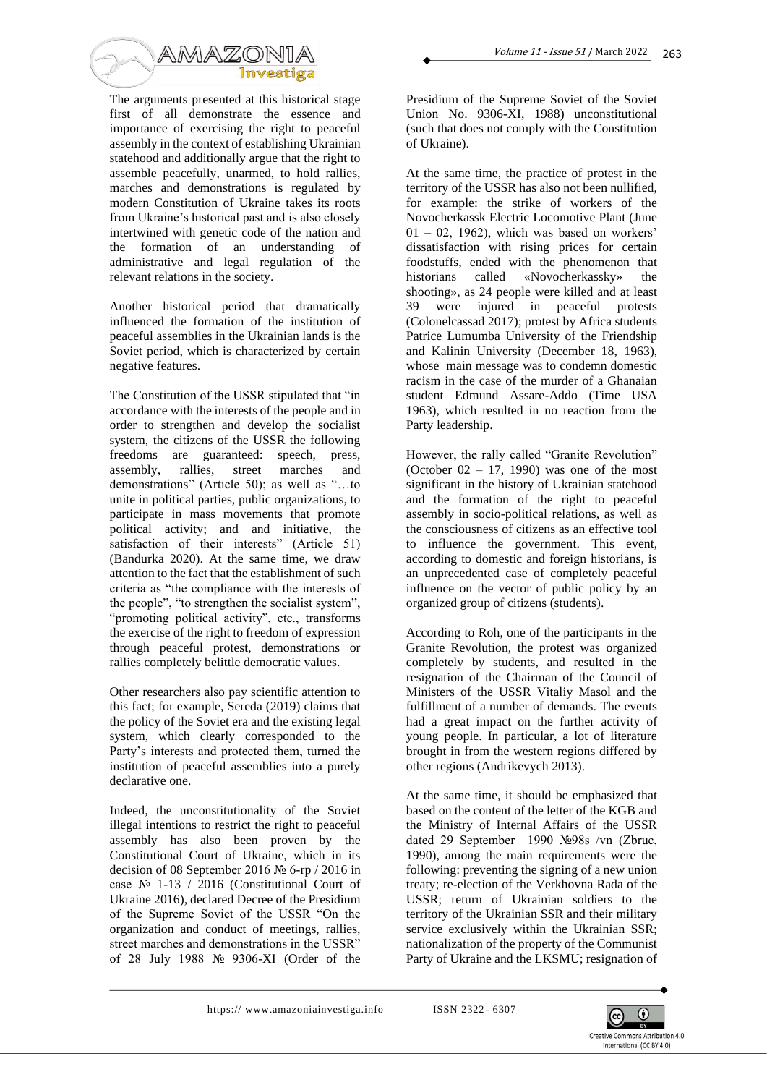

The arguments presented at this historical stage first of all demonstrate the essence and importance of exercising the right to peaceful assembly in the context of establishing Ukrainian statehood and additionally argue that the right to assemble peacefully, unarmed, to hold rallies, marches and demonstrations is regulated by modern Constitution of Ukraine [takes its roots](https://www.reverso.net/%D0%BF%D0%B5%D1%80%D0%B5%D0%B2%D0%BE%D0%B4-%D1%82%D0%B5%D0%BA%D1%81%D1%82%D0%B0#sl=rus&tl=eng&text=%D0%B1%D0%B5%D1%80%D0%B5%D1%82%20%D1%81%D0%B2%D0%BE%D0%B8%20%D0%B8%D1%81%D1%82%D0%BE%D0%BA%D0%B8%20%D0%B8%D0%B7%20%D0%B8%D1%81%D1%82%D0%BE%D1%80%D0%B8%D1%87%D0%B5%D1%81%D0%BA%D0%BE%D0%B3%D0%BE%20%D0%BF%D1%80%D0%BE%D1%88%D0%BB%D0%BE%D0%B)  [from Ukraine's historical past and is also closely](https://www.reverso.net/%D0%BF%D0%B5%D1%80%D0%B5%D0%B2%D0%BE%D0%B4-%D1%82%D0%B5%D0%BA%D1%81%D1%82%D0%B0#sl=rus&tl=eng&text=%D0%B1%D0%B5%D1%80%D0%B5%D1%82%20%D1%81%D0%B2%D0%BE%D0%B8%20%D0%B8%D1%81%D1%82%D0%BE%D0%BA%D0%B8%20%D0%B8%D0%B7%20%D0%B8%D1%81%D1%82%D0%BE%D1%80%D0%B8%D1%87%D0%B5%D1%81%D0%BA%D0%BE%D0%B3%D0%BE%20%D0%BF%D1%80%D0%BE%D1%88%D0%BB%D0%BE%D0%B)  [intertwined with genetic](https://www.reverso.net/%D0%BF%D0%B5%D1%80%D0%B5%D0%B2%D0%BE%D0%B4-%D1%82%D0%B5%D0%BA%D1%81%D1%82%D0%B0#sl=rus&tl=eng&text=%D0%B1%D0%B5%D1%80%D0%B5%D1%82%20%D1%81%D0%B2%D0%BE%D0%B8%20%D0%B8%D1%81%D1%82%D0%BE%D0%BA%D0%B8%20%D0%B8%D0%B7%20%D0%B8%D1%81%D1%82%D0%BE%D1%80%D0%B8%D1%87%D0%B5%D1%81%D0%BA%D0%BE%D0%B3%D0%BE%20%D0%BF%D1%80%D0%BE%D1%88%D0%BB%D0%BE%D0%B) code of the nation and the formation of an understanding of administrative and legal regulation of the relevant relations in the society.

Another historical period that dramatically influenced the formation of the institution of peaceful assemblies in the Ukrainian lands is the Soviet period, which is characterized by certain negative features.

The Constitution of the USSR stipulated that "in accordance with the interests of the people and in order to strengthen and develop the socialist system, the citizens of the USSR the following freedoms are guaranteed: speech, press, assembly, rallies, street marches and demonstrations" (Article 50); as well as "…to unite in political parties, public organizations, to participate in [mass movements that promote](https://www.reverso.net/%D0%BF%D0%B5%D1%80%D0%B5%D0%B2%D0%BE%D0%B4-%D1%82%D0%B5%D0%BA%D1%81%D1%82%D0%B0#sl=rus&tl=eng&text=%D1%83%D1%87%D0%B0%D1%81%D1%82%D0%B2%D0%BE%D0%B2%D0%B0%D1%82%D1%8C%20%D0%B2%20%D0%BC%D0%B0%D1%81%D1%81%D0%BE%D0%B2%D1%8B%D1%85%20%D0%B4%D0%B2%D0%B8%D0%B6%D0%B5%D0%BD%D0%B8%D1%8F%D1%85,%20%D1%81%D0%BF%D0%BE%D1%81%D0%BE%D0%B1%D1%81%D1%82%)  [political activity; and](https://www.reverso.net/%D0%BF%D0%B5%D1%80%D0%B5%D0%B2%D0%BE%D0%B4-%D1%82%D0%B5%D0%BA%D1%81%D1%82%D0%B0#sl=rus&tl=eng&text=%D1%83%D1%87%D0%B0%D1%81%D1%82%D0%B2%D0%BE%D0%B2%D0%B0%D1%82%D1%8C%20%D0%B2%20%D0%BC%D0%B0%D1%81%D1%81%D0%BE%D0%B2%D1%8B%D1%85%20%D0%B4%D0%B2%D0%B8%D0%B6%D0%B5%D0%BD%D0%B8%D1%8F%D1%85,%20%D1%81%D0%BF%D0%BE%D1%81%D0%BE%D0%B1%D1%81%D1%82%) and initiative, the satisfaction of their interests" (Article 51) (Bandurka 2020). At the same time, we draw attention to the fact that the establishment of such criteria as "the compliance with the interests of the people", "to strengthen the socialist system", "promoting political activity", etc., [transforms](https://www.reverso.net/%D0%BF%D0%B5%D1%80%D0%B5%D0%B2%D0%BE%D0%B4-%D1%82%D0%B5%D0%BA%D1%81%D1%82%D0%B0#sl=rus&tl=eng&text=%D0%BF%D1%80%D0%B5%D0%B2%D1%80%D0%B0%D1%89%D0%B0%D0%B5%D1%82%20%D0%BC%D0%B5%D1%85%D0%B0%D0%BD%D0%B8%D0%B7%D0%BC%20%D1%80%D0%B5%D0%B0%D0%BB%D0%B8%D0%B7%D0%B0%D1%86%D0%B8%D0%B8%20%D0%BF%D1%80%D0%B0%D0%B2%D0%B0%20%D0%B2%20%D1%81%D0%B2%D0%B)  [the exercise of the right to freedom of expression](https://www.reverso.net/%D0%BF%D0%B5%D1%80%D0%B5%D0%B2%D0%BE%D0%B4-%D1%82%D0%B5%D0%BA%D1%81%D1%82%D0%B0#sl=rus&tl=eng&text=%D0%BF%D1%80%D0%B5%D0%B2%D1%80%D0%B0%D1%89%D0%B0%D0%B5%D1%82%20%D0%BC%D0%B5%D1%85%D0%B0%D0%BD%D0%B8%D0%B7%D0%BC%20%D1%80%D0%B5%D0%B0%D0%BB%D0%B8%D0%B7%D0%B0%D1%86%D0%B8%D0%B8%20%D0%BF%D1%80%D0%B0%D0%B2%D0%B0%20%D0%B2%20%D1%81%D0%B2%D0%B)  [through](https://www.reverso.net/%D0%BF%D0%B5%D1%80%D0%B5%D0%B2%D0%BE%D0%B4-%D1%82%D0%B5%D0%BA%D1%81%D1%82%D0%B0#sl=rus&tl=eng&text=%D0%BF%D1%80%D0%B5%D0%B2%D1%80%D0%B0%D1%89%D0%B0%D0%B5%D1%82%20%D0%BC%D0%B5%D1%85%D0%B0%D0%BD%D0%B8%D0%B7%D0%BC%20%D1%80%D0%B5%D0%B0%D0%BB%D0%B8%D0%B7%D0%B0%D1%86%D0%B8%D0%B8%20%D0%BF%D1%80%D0%B0%D0%B2%D0%B0%20%D0%B2%20%D1%81%D0%B2%D0%B) peaceful protest, demonstrations or rallies completely belittle democratic values.

Other researchers also pay scientific attention to this fact; for example, Sereda (2019) claims that the policy of the Soviet era and the existing legal system, which clearly corresponded to the Party's interests and protected them, turned the institution of peaceful assemblies into a purely declarative one.

Indeed, the unconstitutionality of the Soviet illegal intentions to restrict the right to peaceful assembly has also been proven by the Constitutional Court of Ukraine, which in its decision of 08 September 2016 № 6-rp / 2016 in case  $\mathbb{N}$  1-13 / 2016 (Constitutional Court of Ukraine 2016), declared Decree of the Presidium of the Supreme Soviet of the USSR "On the organization and conduct of meetings, rallies, street marches and demonstrations in the USSR" of 28 July 1988 № 9306-XI (Order of the

Presidium of the Supreme Soviet of the Soviet Union No. 9306-XI, 1988) unconstitutional (such that does not comply with the Constitution of Ukraine).

At the same time, the practice of protest in the territory of the USSR has also not been nullified, for example: the strike of workers of the Novocherkassk Electric Locomotive Plant (June  $01 - 02$ , 1962), which was based on workers' dissatisfaction with rising prices for certain foodstuffs, ended with the phenomenon that historians called «Novocherkassky» the shooting», as 24 people were killed and at least 39 were injured in peaceful protests (Colonelcassad 2017); protest by Africa students Patrice Lumumba University of the Friendship and Kalinin University (December 18, 1963), whose main message was to condemn domestic racism in the case of the murder of a Ghanaian student Edmund Assare-Addo (Time USA 1963), which resulted in no reaction from the Party leadership.

However, the rally called "Granite Revolution" (October  $02 - 17$ , 1990) was one of the most significant in the history of Ukrainian statehood and the formation of the right to peaceful assembly in socio-political relations, as well as the consciousness of citizens as an effective tool to influence the government. This event, according to domestic and foreign historians, is an unprecedented case of completely peaceful influence on the vector of public policy by an organized group of citizens (students).

According to Roh, one of the participants in the Granite Revolution, the protest was organized completely by students, and resulted in the resignation of the Chairman of the Council of Ministers of the USSR Vitaliy Masol and the fulfillment of a number of demands. The events had a great impact on the further activity of young people. In particular, a lot of literature brought in from the western regions differed by other regions (Andrikevych 2013).

At the same time, it should be emphasized that based on the content of the letter of the KGB and the Ministry of Internal Affairs of the USSR dated 29 September 1990 №98s /vn (Zbruc, 1990), among the main requirements were the following: preventing the signing of a new union treaty; re-election of the Verkhovna Rada of the USSR; [return of Ukrainian soldiers to the](https://www.reverso.net/%D0%BF%D0%B5%D1%80%D0%B5%D0%B2%D0%BE%D0%B4-%D1%82%D0%B5%D0%BA%D1%81%D1%82%D0%B0#sl=rus&tl=eng&text=%D0%B2%D0%BE%D0%B7%D0%B2%D1%80%D0%B0%D1%89%D0%B5%D0%BD%D0%B8%D0%B5%20%D0%BD%D0%B0%20%D1%82%D0%B5%D1%80%D1%80%D0%B8%D1%82%D0%BE%D1%80%D0%B8%D1%8E%20%D0%A0%D0%A1%D0%A4%D0%A1%D0%A0%20%D1%83%D0%BA%D1%80%D0%B0%D0%B8%D0%BD%D1%81%D0%BA%D0%B8%D)  [territory of the Ukrainian SSR and their military](https://www.reverso.net/%D0%BF%D0%B5%D1%80%D0%B5%D0%B2%D0%BE%D0%B4-%D1%82%D0%B5%D0%BA%D1%81%D1%82%D0%B0#sl=rus&tl=eng&text=%D0%B2%D0%BE%D0%B7%D0%B2%D1%80%D0%B0%D1%89%D0%B5%D0%BD%D0%B8%D0%B5%20%D0%BD%D0%B0%20%D1%82%D0%B5%D1%80%D1%80%D0%B8%D1%82%D0%BE%D1%80%D0%B8%D1%8E%20%D0%A0%D0%A1%D0%A4%D0%A1%D0%A0%20%D1%83%D0%BA%D1%80%D0%B0%D0%B8%D0%BD%D1%81%D0%BA%D0%B8%D)  [service](https://www.reverso.net/%D0%BF%D0%B5%D1%80%D0%B5%D0%B2%D0%BE%D0%B4-%D1%82%D0%B5%D0%BA%D1%81%D1%82%D0%B0#sl=rus&tl=eng&text=%D0%B2%D0%BE%D0%B7%D0%B2%D1%80%D0%B0%D1%89%D0%B5%D0%BD%D0%B8%D0%B5%20%D0%BD%D0%B0%20%D1%82%D0%B5%D1%80%D1%80%D0%B8%D1%82%D0%BE%D1%80%D0%B8%D1%8E%20%D0%A0%D0%A1%D0%A4%D0%A1%D0%A0%20%D1%83%D0%BA%D1%80%D0%B0%D0%B8%D0%BD%D1%81%D0%BA%D0%B8%D) exclusively within the Ukrainian SSR; nationalization of the property of the Communist Party of Ukraine and the LKSMU; resignation of

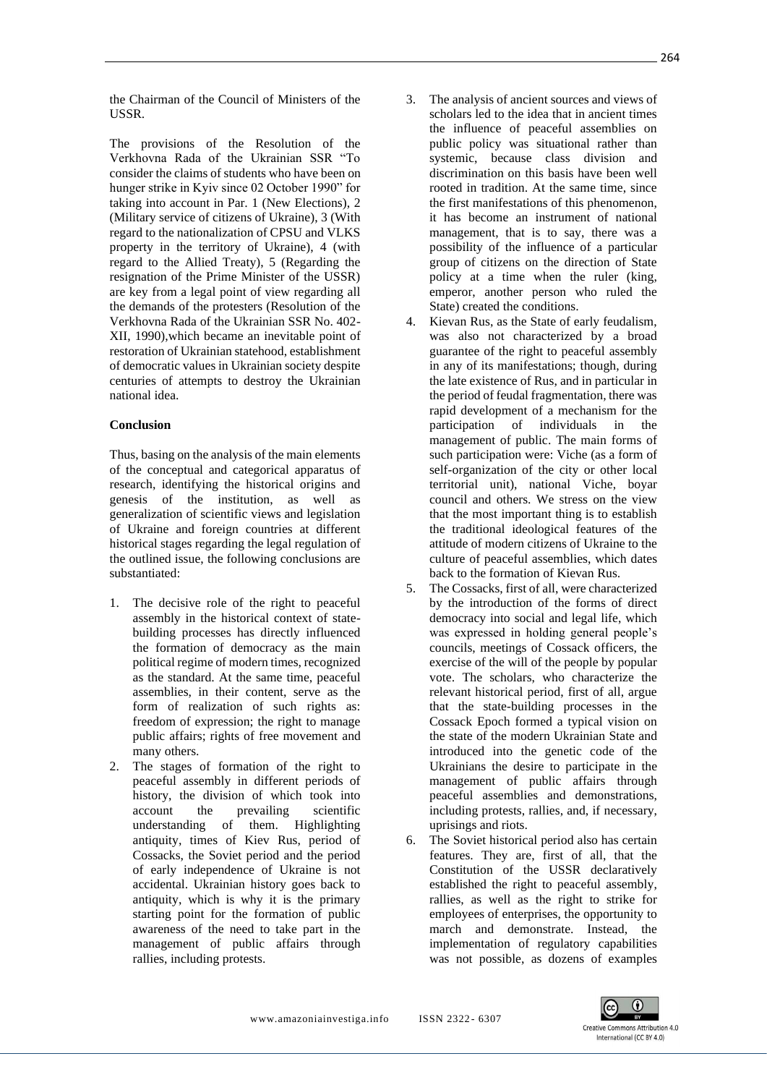the Chairman of the Council of Ministers of the USSR.

The provisions of the Resolution of the Verkhovna Rada of the Ukrainian SSR "To consider the claims of students who have been on hunger strike in Kyiv since 02 October 1990" for taking into account in Par. 1 (New Elections), 2 (Military service of citizens of Ukraine), 3 (With regard to the nationalization of CPSU and VLKS property in the territory of Ukraine), 4 (with regard to the Allied Treaty), 5 (Regarding the resignation of the Prime Minister of the USSR) are key from a legal point of view regarding all the demands of the protesters (Resolution of the Verkhovna Rada of the Ukrainian SSR No. 402- XII, 1990),which became an inevitable point of restoration of Ukrainian statehood, establishment of democratic values in Ukrainian society despite centuries of attempts to destroy the Ukrainian national idea.

#### **Conclusion**

Thus, basing on the analysis of the main elements of the conceptual and categorical apparatus of research, identifying the historical origins and genesis of the institution, as well as generalization of scientific views and legislation of Ukraine and foreign countries at different historical stages regarding the legal regulation of the outlined issue, the following conclusions are substantiated:

- 1. The decisive role of the right to peaceful assembly in the historical context of statebuilding processes has directly influenced the formation of democracy as the main political regime of modern times, recognized as the standard. At the same time, peaceful assemblies, in their content, serve as the form of realization of such rights as: freedom of expression; the right to manage public affairs; rights of free movement and many others.
- 2. The stages of formation of the right to peaceful assembly in different periods of history, the division of which took into account the prevailing scientific understanding of them. Highlighting antiquity, times of Kiev Rus, period of Cossacks, the Soviet period and the period of early independence of Ukraine is not accidental. Ukrainian history goes back to antiquity, which is why it is the primary starting point for the formation of public awareness of the need to take part in the management of public affairs through rallies, including protests.
- 3. The analysis of ancient sources and views of scholars led to the idea that in ancient times the influence of peaceful assemblies on public policy was situational rather than systemic, because class division and discrimination on this basis have been well rooted in tradition. At the same time, since the first manifestations of this phenomenon, it has become an instrument of national management, that is to say, there was a possibility of the influence of a particular group of citizens on the direction of State policy at a time when the ruler (king, emperor, another person who ruled the State) created the conditions.
- 4. Kievan Rus, as the State of early feudalism, was also not characterized by a broad guarantee of the right to peaceful assembly in any of its manifestations; though, during the late existence of Rus, and in particular in the period of feudal fragmentation, there was [rapid development of a mechanism for the](https://www.reverso.net/%D0%BF%D0%B5%D1%80%D0%B5%D0%B2%D0%BE%D0%B4-%D1%82%D0%B5%D0%BA%D1%81%D1%82%D0%B0#sl=rus&tl=eng&text=%D1%81%D1%82%D1%80%D0%B5%D0%BC%D0%B8%D1%82%D0%B5%D0%BB%D1%8C%D0%BD%D1%8B%D0%BC%D0%B8%20%D0%BE%D0%B1%D0%BE%D1%80%D0%BE%D1%82%D0%B0%D0%BC%D0%B8%20%D1%80%D0%B0%D0%B7%D0%B2%D0%B8%D0%B2%D0%B0%D0%BB%D1%81%D1%8F%20%D0%BC%D0%B5%D1%85%D0%B0%D0%B)  [participation of individuals in the](https://www.reverso.net/%D0%BF%D0%B5%D1%80%D0%B5%D0%B2%D0%BE%D0%B4-%D1%82%D0%B5%D0%BA%D1%81%D1%82%D0%B0#sl=rus&tl=eng&text=%D1%81%D1%82%D1%80%D0%B5%D0%BC%D0%B8%D1%82%D0%B5%D0%BB%D1%8C%D0%BD%D1%8B%D0%BC%D0%B8%20%D0%BE%D0%B1%D0%BE%D1%80%D0%BE%D1%82%D0%B0%D0%BC%D0%B8%20%D1%80%D0%B0%D0%B7%D0%B2%D0%B8%D0%B2%D0%B0%D0%BB%D1%81%D1%8F%20%D0%BC%D0%B5%D1%85%D0%B0%D0%B)  [management of public.](https://www.reverso.net/%D0%BF%D0%B5%D1%80%D0%B5%D0%B2%D0%BE%D0%B4-%D1%82%D0%B5%D0%BA%D1%81%D1%82%D0%B0#sl=rus&tl=eng&text=%D1%81%D1%82%D1%80%D0%B5%D0%BC%D0%B8%D1%82%D0%B5%D0%BB%D1%8C%D0%BD%D1%8B%D0%BC%D0%B8%20%D0%BE%D0%B1%D0%BE%D1%80%D0%BE%D1%82%D0%B0%D0%BC%D0%B8%20%D1%80%D0%B0%D0%B7%D0%B2%D0%B8%D0%B2%D0%B0%D0%BB%D1%81%D1%8F%20%D0%BC%D0%B5%D1%85%D0%B0%D0%B) The main forms of such participation were: Viche (as a form of self-organization of the city or other local territorial unit), national Viche, boyar council and others. We stress on the view that the most important thing is to establish the traditional ideological features of the attitude of modern citizens of Ukraine to the culture of peaceful assemblies, which dates back to the formation of Kievan Rus.
- 5. The Cossacks, first of all, were characterized by the introduction of the forms of direct democracy into social and legal life, which was expressed in holding general people's councils, meetings of Cossack officers, the exercise of the will of the people by popular vote. The scholars, who characterize the relevant historical period, first of all, argue that the state-building processes in the Cossack Epoch formed a typical vision on the state of the modern Ukrainian State and introduced into the genetic code of the Ukrainians the desire to participate in the management of public affairs through peaceful assemblies and demonstrations, including protests, rallies, and, if necessary, uprisings and riots.
- 6. The Soviet historical period also has certain features. They are, first of all, that the Constitution of the USSR declaratively established the right to peaceful assembly, rallies, as well as the right to strike for employees of enterprises, the opportunity to march and demonstrate. Instead, the implementation of regulatory capabilities was not possible, as dozens of examples

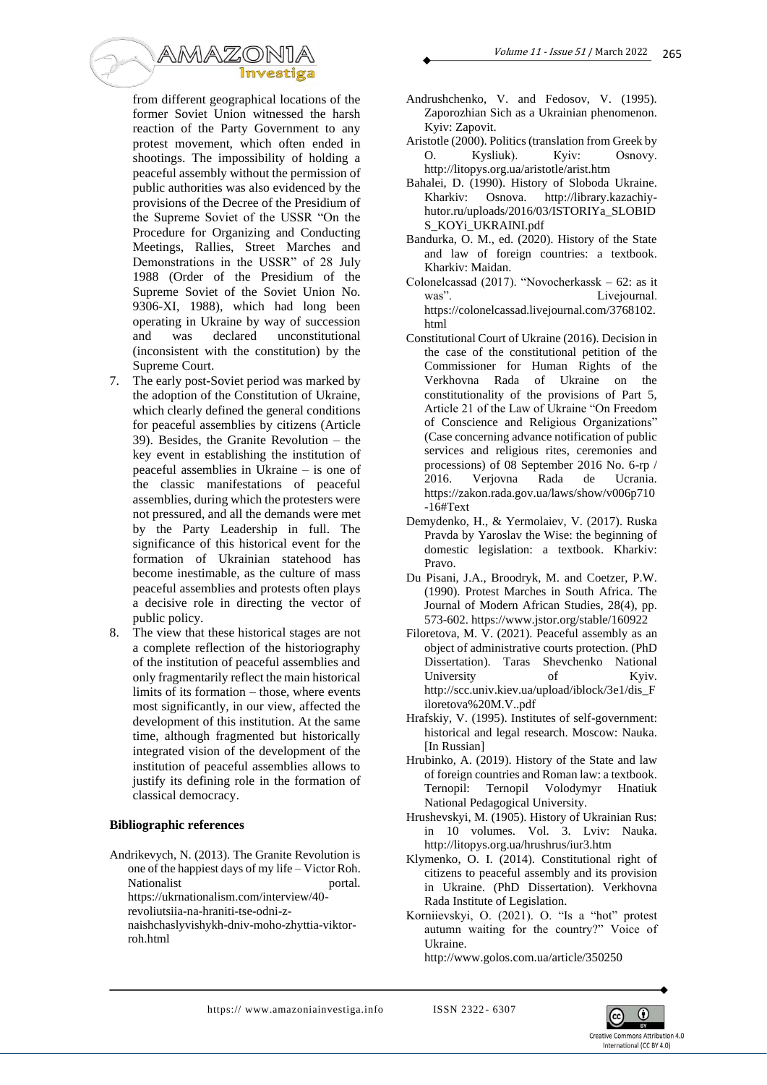

from different geographical locations of the former Soviet Union witnessed the harsh reaction of the Party Government to any protest movement, which often ended in shootings. The impossibility of holding a peaceful assembly without the permission of public authorities was also evidenced by the provisions of the Decree of the Presidium of the Supreme Soviet of the USSR "On the Procedure for Organizing and Conducting Meetings, Rallies, Street Marches and Demonstrations in the USSR" of 28 July 1988 (Order of the Presidium of the Supreme Soviet of the Soviet Union No. 9306-XI, 1988), which had long been operating in Ukraine by way of succession and was declared unconstitutional (inconsistent with the constitution) by the Supreme Court.

- 7. The early post-Soviet period was marked by the adoption of the Constitution of Ukraine, which clearly defined the general conditions for peaceful assemblies by citizens (Article 39). Besides, the Granite Revolution – the key event in establishing the institution of peaceful assemblies in Ukraine – is one of the classic manifestations of peaceful assemblies, during which the protesters were not pressured, and all the demands were met by the Party Leadership in full. The significance of this historical event for the formation of Ukrainian statehood has become inestimable, as the culture of mass peaceful assemblies and protests often plays a decisive role in directing the vector of public policy.
- 8. The view that these historical stages are not a complete reflection of the historiography of the institution of peaceful assemblies and only fragmentarily reflect the main historical limits of its formation – those, where events most significantly, in our view, affected the development of this institution. At the same time, although fragmented but historically integrated vision of the development of the institution of peaceful assemblies allows to justify its defining role in the formation of classical democracy.

## **Bibliographic references**

Andrikevych, N. (2013). The Granite Revolution is one of the happiest days of my life – Victor Roh. Nationalist portal. https://ukrnationalism.com/interview/40 revoliutsiia-na-hraniti-tse-odni-znaishchaslyvishykh-dniv-moho-zhyttia-viktorroh.html

- Andrushchenko, V. and Fedosov, V. (1995). Zaporozhian Sich as a Ukrainian phenomenon. Kyiv: Zapovit.
- Aristotle (2000). Politics (translation from Greek by O. Kysliuk). Кyiv: Osnovy. http://litopys.org.ua/aristotle/arist.htm
- Bahalei, D. (1990). History of Sloboda Ukraine. Kharkiv: Osnova. http://library.kazachiyhutor.ru/uploads/2016/03/ISTORIYa\_SLOBID S\_KOYi\_UKRAINI.pdf
- Bandurka, O. M., ed. (2020). History of the State and law of foreign countries: a textbook. Kharkiv: Maidan.
- Colonelcassad (2017). "Novocherkassk 62: as it was". Livejournal. https://colonelcassad.livejournal.com/3768102. html
- Constitutional Court of Ukraine (2016). Decision in the case of the constitutional petition of the Commissioner for Human Rights of the Verkhovna Rada of Ukraine on the constitutionality of the provisions of Part 5, Article 21 of the Law of Ukraine "On Freedom of Conscience and Religious Organizations" (Case concerning advance notification of public services and religious rites, ceremonies and processions) of 08 September 2016 No. 6-rp / 2016. Verjovna Rada de Ucrania. https://zakon.rada.gov.ua/laws/show/v006p710 -16#Text
- Demydenko, H., & Yermolaiev, V. (2017). Ruska Pravda by Yaroslav the Wise: the beginning of domestic legislation: a textbook. Kharkiv: Pravo.
- Du Pisani, J.A., Broodryk, M. and Coetzer, P.W. (1990). Protest Marches in South Africa. The Journal of Modern African Studies, 28(4), pp. 573-602. https://www.jstor.org/stable/160922
- Filoretova, M. V. (2021). Peaceful assembly as an object of administrative courts protection. (PhD Dissertation). Taras Shevchenko National University of Kyiv. http://scc.univ.kiev.ua/upload/iblock/3e1/dis\_F iloretova%20M.V..pdf
- Hrafskiy, V. (1995). Institutes of self-government: historical and legal research. Moscow: Nauka. [In Russian]
- Hrubinko, A. (2019). History of the State and law of foreign countries and Roman law: a textbook. Ternopil: Ternopil Volodymyr Hnatiuk National Pedagogical University.
- Hrushevskyi, M. (1905). History of Ukrainian Rus: in 10 volumes. Vol. 3. Lviv: Nauka. http://litopys.org.ua/hrushrus/iur3.htm
- Klymenko, O. I. (2014). Constitutional right of citizens to peaceful assembly and its provision in Ukraine. (PhD Dissertation). Verkhovna Rada Institute of Legislation.
- Korniievskyi, O. (2021). O. "Is a "hot" protest autumn waiting for the country?" Voice of Ukraine.

http://www.golos.com.ua/article/350250

https:// www.amazoniainvestiga.info ISSN 2322-6307